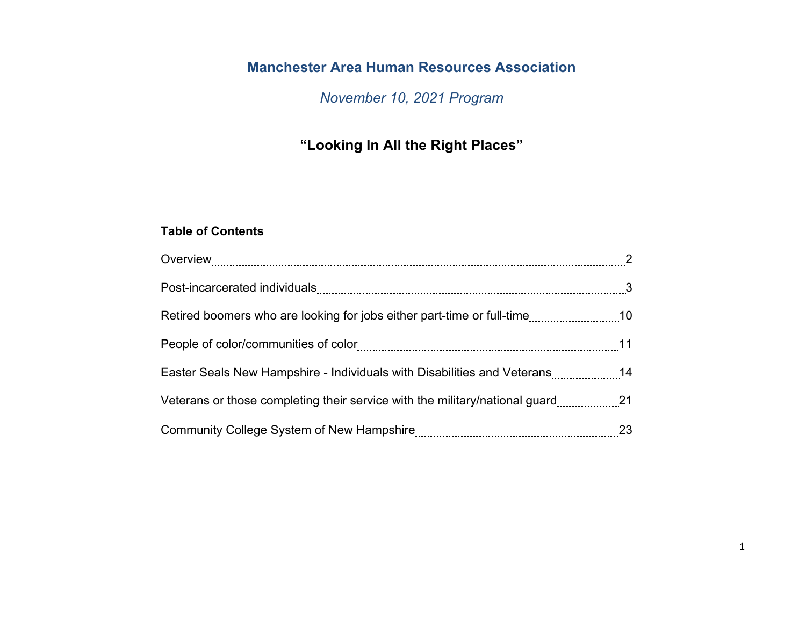# **Manchester Area Human Resources Association**

*November 10, 2021 Program*

# **"Looking In All the Right Places"**

# **Table of Contents**

| Easter Seals New Hampshire - Individuals with Disabilities and Veterans14     |  |
|-------------------------------------------------------------------------------|--|
| Veterans or those completing their service with the military/national guard21 |  |
|                                                                               |  |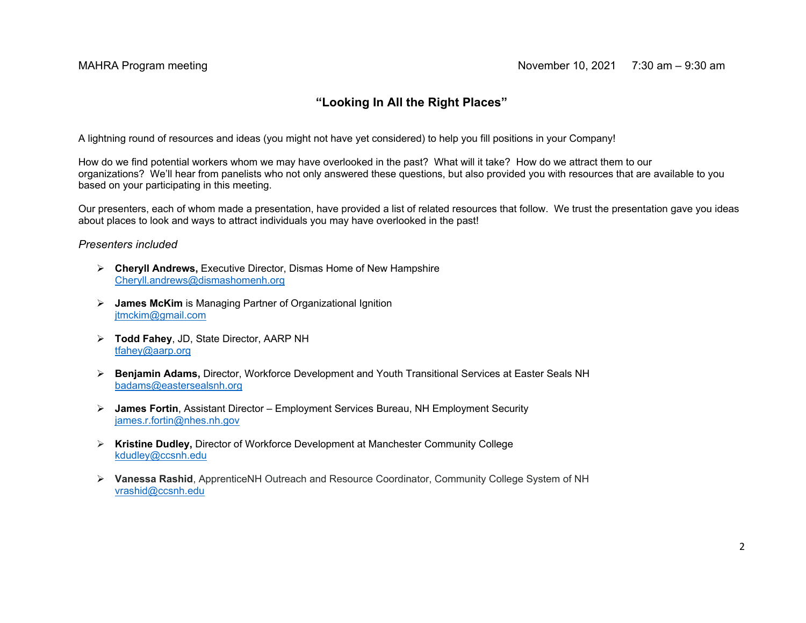# **"Looking In All the Right Places"**

A lightning round of resources and ideas (you might not have yet considered) to help you fill positions in your Company!

How do we find potential workers whom we may have overlooked in the past? What will it take? How do we attract them to our organizations? We'll hear from panelists who not only answered these questions, but also provided you with resources that are available to you based on your participating in this meeting.

Our presenters, each of whom made a presentation, have provided a list of related resources that follow. We trust the presentation gave you ideas about places to look and ways to attract individuals you may have overlooked in the past!

## *Presenters included*

- **Cheryll Andrews,** Executive Director, Dismas Home of New Hampshire Cheryll.andrews@dismashomenh.org
- **James McKim** is Managing Partner of Organizational Ignition jtmckim@gmail.com
- **Todd Fahey**, JD, State Director, AARP NH tfahey@aarp.org
- **Benjamin Adams,** Director, Workforce Development and Youth Transitional Services at Easter Seals NH badams@eastersealsnh.org
- **James Fortin**, Assistant Director Employment Services Bureau, NH Employment Security james.r.fortin@nhes.nh.gov
- **Kristine Dudley,** Director of Workforce Development at Manchester Community College kdudley@ccsnh.edu
- **Vanessa Rashid**, ApprenticeNH Outreach and Resource Coordinator, Community College System of NH vrashid@ccsnh.edu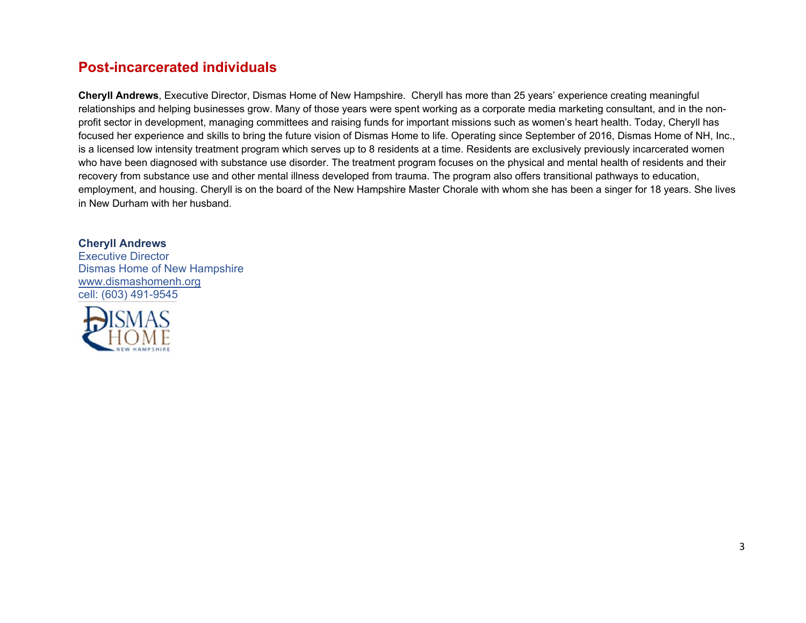# **Post-incarcerated individuals**

**Cheryll Andrews**, Executive Director, Dismas Home of New Hampshire. Cheryll has more than 25 years' experience creating meaningful relationships and helping businesses grow. Many of those years were spent working as a corporate media marketing consultant, and in the nonprofit sector in development, managing committees and raising funds for important missions such as women's heart health. Today, Cheryll has focused her experience and skills to bring the future vision of Dismas Home to life. Operating since September of 2016, Dismas Home of NH, Inc., is a licensed low intensity treatment program which serves up to 8 residents at a time. Residents are exclusively previously incarcerated women who have been diagnosed with substance use disorder. The treatment program focuses on the physical and mental health of residents and their recovery from substance use and other mental illness developed from trauma. The program also offers transitional pathways to education, employment, and housing. Cheryll is on the board of the New Hampshire Master Chorale with whom she has been a singer for 18 years. She lives in New Durham with her husband.

# **Cheryll Andrews**

Executive DirectorDismas Home of New Hampshire www.dismashomenh.org cell: (603) 491-9545

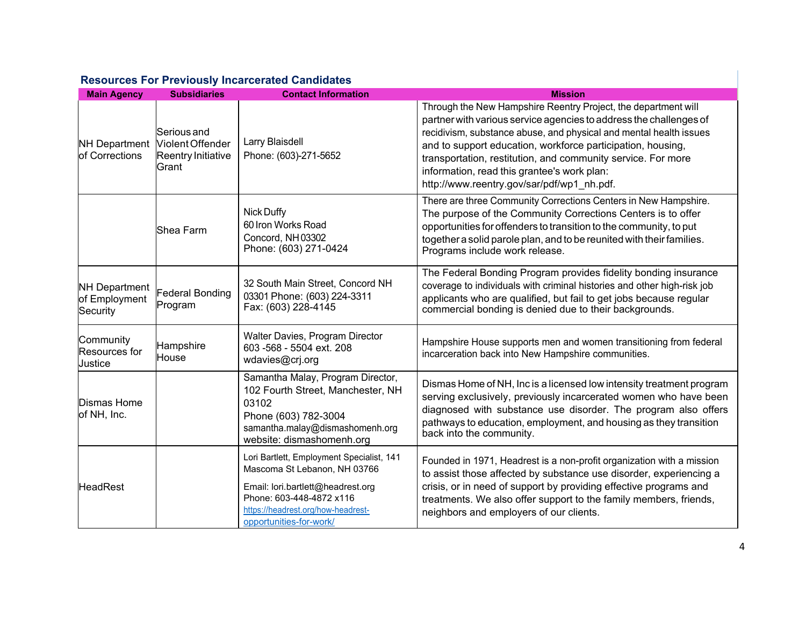| <b>Main Agency</b>                                | <b>Subsidiaries</b>                                                          | <b>Contact Information</b>                                                                                                                                                                                  | <b>Mission</b>                                                                                                                                                                                                                                                                                                                                                                                                                         |
|---------------------------------------------------|------------------------------------------------------------------------------|-------------------------------------------------------------------------------------------------------------------------------------------------------------------------------------------------------------|----------------------------------------------------------------------------------------------------------------------------------------------------------------------------------------------------------------------------------------------------------------------------------------------------------------------------------------------------------------------------------------------------------------------------------------|
| of Corrections                                    | Serious and<br>NH Department Violent Offender<br>Reentry Initiative<br>Grant | Larry Blaisdell<br>Phone: (603)-271-5652                                                                                                                                                                    | Through the New Hampshire Reentry Project, the department will<br>partner with various service agencies to address the challenges of<br>recidivism, substance abuse, and physical and mental health issues<br>and to support education, workforce participation, housing,<br>transportation, restitution, and community service. For more<br>information, read this grantee's work plan:<br>http://www.reentry.gov/sar/pdf/wp1 nh.pdf. |
|                                                   | Shea Farm                                                                    | <b>Nick Duffy</b><br>60 Iron Works Road<br>Concord, NH03302<br>Phone: (603) 271-0424                                                                                                                        | There are three Community Corrections Centers in New Hampshire.<br>The purpose of the Community Corrections Centers is to offer<br>opportunities for offenders to transition to the community, to put<br>together a solid parole plan, and to be reunited with their families.<br>Programs include work release.                                                                                                                       |
| <b>NH Department</b><br>of Employment<br>Security | Federal Bonding<br>Program                                                   | 32 South Main Street, Concord NH<br>03301 Phone: (603) 224-3311<br>Fax: (603) 228-4145                                                                                                                      | The Federal Bonding Program provides fidelity bonding insurance<br>coverage to individuals with criminal histories and other high-risk job<br>applicants who are qualified, but fail to get jobs because regular<br>commercial bonding is denied due to their backgrounds.                                                                                                                                                             |
| Community<br>Resources for<br>Justice             | Hampshire<br>House                                                           | Walter Davies, Program Director<br>603-568 - 5504 ext. 208<br>wdavies@crj.org                                                                                                                               | Hampshire House supports men and women transitioning from federal<br>incarceration back into New Hampshire communities.                                                                                                                                                                                                                                                                                                                |
| <b>Dismas Home</b><br>of NH, Inc.                 |                                                                              | Samantha Malay, Program Director,<br>102 Fourth Street, Manchester, NH<br>03102<br>Phone (603) 782-3004<br>samantha.malay@dismashomenh.org<br>website: dismashomenh.org                                     | Dismas Home of NH, Inc is a licensed low intensity treatment program<br>serving exclusively, previously incarcerated women who have been<br>diagnosed with substance use disorder. The program also offers<br>pathways to education, employment, and housing as they transition<br>back into the community.                                                                                                                            |
| <b>HeadRest</b>                                   |                                                                              | Lori Bartlett, Employment Specialist, 141<br>Mascoma St Lebanon, NH 03766<br>Email: lori.bartlett@headrest.org<br>Phone: 603-448-4872 x116<br>https://headrest.org/how-headrest-<br>opportunities-for-work/ | Founded in 1971, Headrest is a non-profit organization with a mission<br>to assist those affected by substance use disorder, experiencing a<br>crisis, or in need of support by providing effective programs and<br>treatments. We also offer support to the family members, friends,<br>neighbors and employers of our clients.                                                                                                       |

# **Resources For Previously Incarcerated Candidates**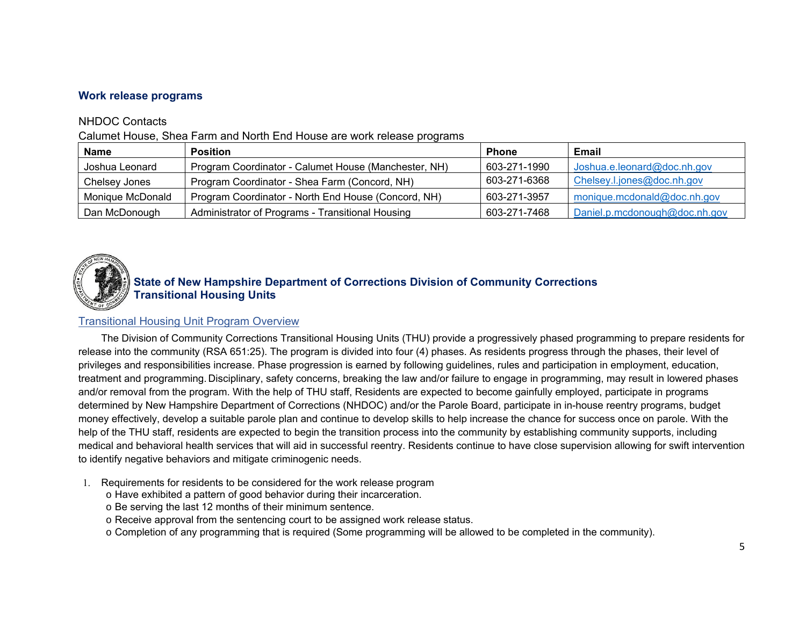# **Work release programs**

# NHDOC Contacts

Calumet House, Shea Farm and North End House are work release programs

| <b>Name</b>      | <b>Position</b>                                      | <b>Phone</b> | Email                         |
|------------------|------------------------------------------------------|--------------|-------------------------------|
| Joshua Leonard   | Program Coordinator - Calumet House (Manchester, NH) | 603-271-1990 | Joshua.e.leonard@doc.nh.gov   |
| Chelsey Jones    | Program Coordinator - Shea Farm (Concord, NH)        | 603-271-6368 | Chelsey.l.jones@doc.nh.gov    |
| Monique McDonald | Program Coordinator - North End House (Concord, NH)  | 603-271-3957 | monique.mcdonald@doc.nh.gov   |
| Dan McDonough    | Administrator of Programs - Transitional Housing     | 603-271-7468 | Daniel.p.mcdonough@doc.nh.gov |



# **State of New Hampshire Department of Corrections Division of Community Corrections Transitional Housing Units**

# Transitional Housing Unit Program Overview

The Division of Community Corrections Transitional Housing Units (THU) provide a progressively phased programming to prepare residents for release into the community (RSA 651:25). The program is divided into four (4) phases. As residents progress through the phases, their level of privileges and responsibilities increase. Phase progression is earned by following guidelines, rules and participation in employment, education, treatment and programming. Disciplinary, safety concerns, breaking the law and/or failure to engage in programming, may result in lowered phases and/or removal from the program. With the help of THU staff, Residents are expected to become gainfully employed, participate in programs determined by New Hampshire Department of Corrections (NHDOC) and/or the Parole Board, participate in in-house reentry programs, budget money effectively, develop a suitable parole plan and continue to develop skills to help increase the chance for success once on parole. With the help of the THU staff, residents are expected to begin the transition process into the community by establishing community supports, including medical and behavioral health services that will aid in successful reentry. Residents continue to have close supervision allowing for swift intervention to identify negative behaviors and mitigate criminogenic needs.

- 1. Requirements for residents to be considered for the work release program
	- o Have exhibited a pattern of good behavior during their incarceration.
	- o Be serving the last 12 months of their minimum sentence.
	- $\circ$  Receive approval from the sentencing court to be assigned work release status.
	- o Completion of any programming that is required (Some programming will be allowed to be completed in the community).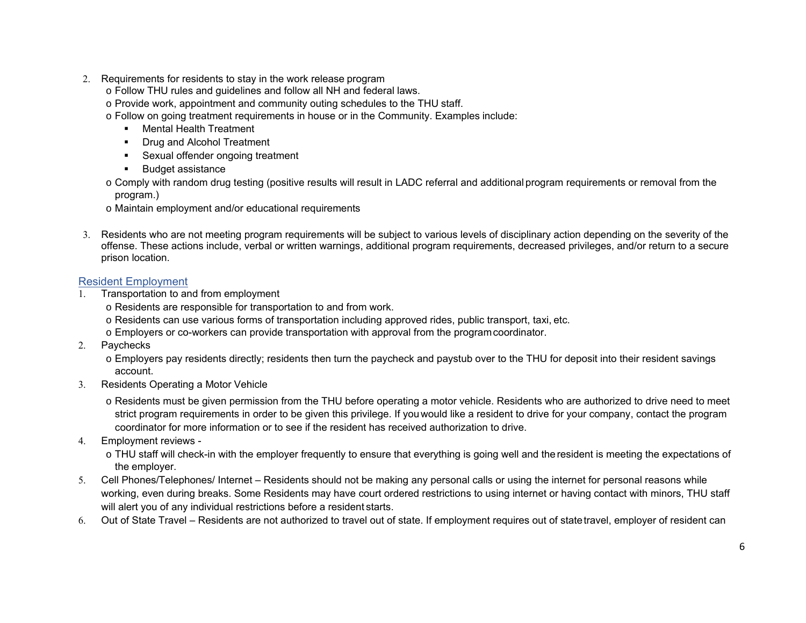- 2. Requirements for residents to stay in the work release program
	- o Follow THU rules and guidelines and follow all NH and federal laws.
	- $\circ$  Provide work, appointment and community outing schedules to the THU staff.
	- o Follow on going treatment requirements in house or in the Community. Examples include:
		- Mental Health Treatment
		- Drug and Alcohol Treatment
		- Sexual offender ongoing treatment
		- Budget assistance
	- o Comply with random drug testing (positive results will result in LADC referral and additional program requirements or removal from the program.)
	- o Maintain employment and/or educational requirements
- 3. Residents who are not meeting program requirements will be subject to various levels of disciplinary action depending on the severity of the offense. These actions include, verbal or written warnings, additional program requirements, decreased privileges, and/or return to a secure prison location.

# Resident Employment

- 1. Transportation to and from employment
	- $\circ$  Residents are responsible for transportation to and from work.
	- $\circ$  Residents can use various forms of transportation including approved rides, public transport, taxi, etc.
	- o Employers or co-workers can provide transportation with approval from the program coordinator.
- 2. Paychecks
	- o Employers pay residents directly; residents then turn the paycheck and paystub over to the THU for deposit into their resident savings account.
- 3. Residents Operating a Motor Vehicle
	- o Residents must be given permission from the THU before operating a motor vehicle. Residents who are authorized to drive need to meet strict program requirements in order to be given this privilege. If you would like a resident to drive for your company, contact the program coordinator for more information or to see if the resident has received authorization to drive.
- 4. Employment reviews
	- $\circ$  THU staff will check-in with the employer frequently to ensure that everything is going well and the resident is meeting the expectations of the employer.
- 5. Cell Phones/Telephones/ Internet Residents should not be making any personal calls or using the internet for personal reasons while working, even during breaks. Some Residents may have court ordered restrictions to using internet or having contact with minors, THU staff will alert you of any individual restrictions before a resident starts.
- 6. Out of State Travel Residents are not authorized to travel out of state. If employment requires out of state travel, employer of resident can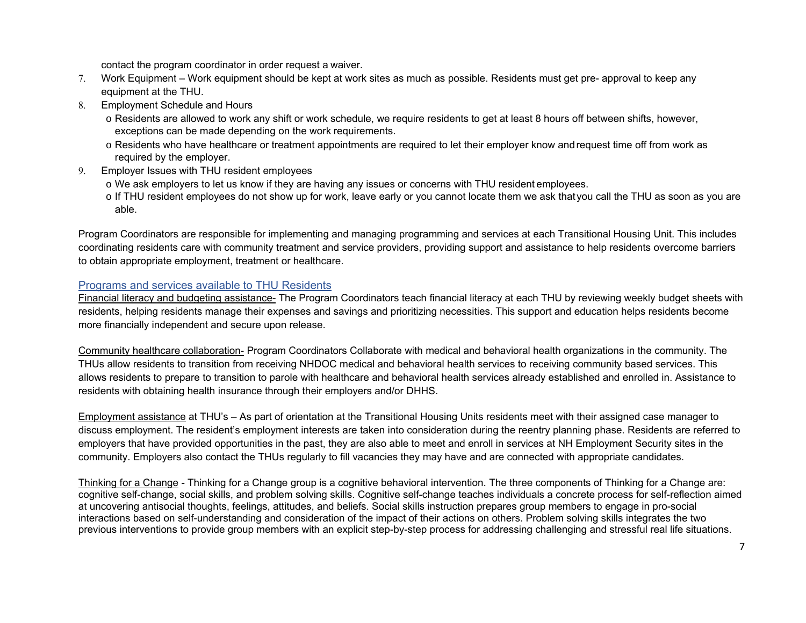contact the program coordinator in order request a waiver.

- 7. Work Equipment Work equipment should be kept at work sites as much as possible. Residents must get pre- approval to keep any equipment at the THU.
- 8. Employment Schedule and Hours
	- $\circ$  Residents are allowed to work any shift or work schedule, we require residents to get at least 8 hours off between shifts, however, exceptions can be made depending on the work requirements.
	- o Residents who have healthcare or treatment appointments are required to let their employer know and request time off from work as required by the employer.
- 9. Employer Issues with THU resident employees
	- $\circ$  We ask employers to let us know if they are having any issues or concerns with THU resident employees.
	- o If THU resident employees do not show up for work, leave early or you cannot locate them we ask that you call the THU as soon as you are able.

Program Coordinators are responsible for implementing and managing programming and services at each Transitional Housing Unit. This includes coordinating residents care with community treatment and service providers, providing support and assistance to help residents overcome barriers to obtain appropriate employment, treatment or healthcare.

## Programs and services available to THU Residents

Financial literacy and budgeting assistance- The Program Coordinators teach financial literacy at each THU by reviewing weekly budget sheets with residents, helping residents manage their expenses and savings and prioritizing necessities. This support and education helps residents become more financially independent and secure upon release.

Community healthcare collaboration- Program Coordinators Collaborate with medical and behavioral health organizations in the community. The THUs allow residents to transition from receiving NHDOC medical and behavioral health services to receiving community based services. This allows residents to prepare to transition to parole with healthcare and behavioral health services already established and enrolled in. Assistance to residents with obtaining health insurance through their employers and/or DHHS.

Employment assistance at THU's – As part of orientation at the Transitional Housing Units residents meet with their assigned case manager to discuss employment. The resident's employment interests are taken into consideration during the reentry planning phase. Residents are referred to employers that have provided opportunities in the past, they are also able to meet and enroll in services at NH Employment Security sites in the community. Employers also contact the THUs regularly to fill vacancies they may have and are connected with appropriate candidates.

Thinking for a Change - Thinking for a Change group is a cognitive behavioral intervention. The three components of Thinking for a Change are: cognitive self-change, social skills, and problem solving skills. Cognitive self-change teaches individuals a concrete process for self-reflection aimed at uncovering antisocial thoughts, feelings, attitudes, and beliefs. Social skills instruction prepares group members to engage in pro-social interactions based on self-understanding and consideration of the impact of their actions on others. Problem solving skills integrates the two previous interventions to provide group members with an explicit step-by-step process for addressing challenging and stressful real life situations.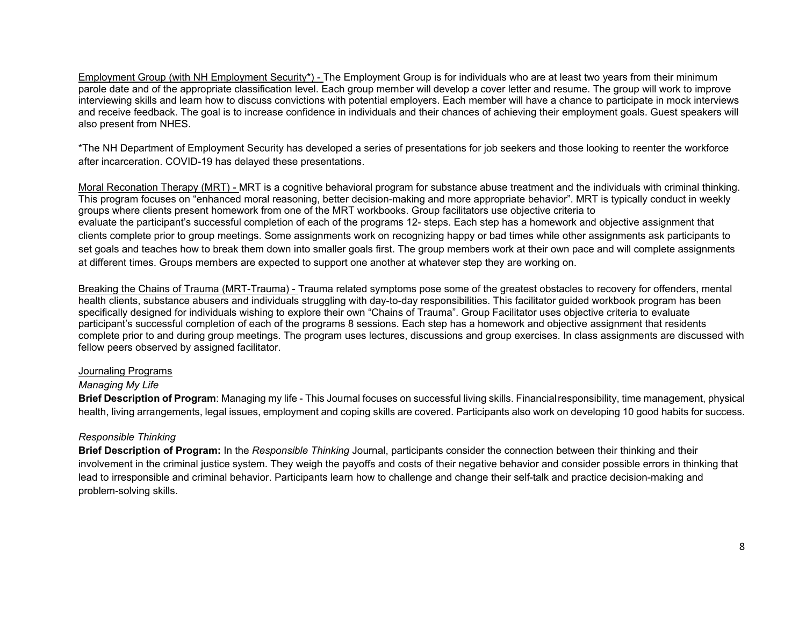Employment Group (with NH Employment Security\*) - The Employment Group is for individuals who are at least two years from their minimum parole date and of the appropriate classification level. Each group member will develop a cover letter and resume. The group will work to improve interviewing skills and learn how to discuss convictions with potential employers. Each member will have a chance to participate in mock interviews and receive feedback. The goal is to increase confidence in individuals and their chances of achieving their employment goals. Guest speakers will also present from NHES.

\*The NH Department of Employment Security has developed a series of presentations for job seekers and those looking to reenter the workforce after incarceration. COVID-19 has delayed these presentations.

Moral Reconation Therapy (MRT) - MRT is a cognitive behavioral program for substance abuse treatment and the individuals with criminal thinking. This program focuses on "enhanced moral reasoning, better decision-making and more appropriate behavior". MRT is typically conduct in weekly groups where clients present homework from one of the MRT workbooks. Group facilitators use objective criteria to evaluate the participant's successful completion of each of the programs 12- steps. Each step has a homework and objective assignment that clients complete prior to group meetings. Some assignments work on recognizing happy or bad times while other assignments ask participants to set goals and teaches how to break them down into smaller goals first. The group members work at their own pace and will complete assignments at different times. Groups members are expected to support one another at whatever step they are working on.

Breaking the Chains of Trauma (MRT-Trauma) - Trauma related symptoms pose some of the greatest obstacles to recovery for offenders, mental health clients, substance abusers and individuals struggling with day-to-day responsibilities. This facilitator guided workbook program has been specifically designed for individuals wishing to explore their own "Chains of Trauma". Group Facilitator uses objective criteria to evaluate participant's successful completion of each of the programs 8 sessions. Each step has a homework and objective assignment that residents complete prior to and during group meetings. The program uses lectures, discussions and group exercises. In class assignments are discussed with fellow peers observed by assigned facilitator.

## Journaling Programs

# *Managing My Life*

**Brief Description of Program**: Managing my life - This Journal focuses on successful living skills. Financial responsibility, time management, physical health, living arrangements, legal issues, employment and coping skills are covered. Participants also work on developing 10 good habits for success.

# *Responsible Thinking*

**Brief Description of Program:** In the *Responsible Thinking* Journal, participants consider the connection between their thinking and their involvement in the criminal justice system. They weigh the payoffs and costs of their negative behavior and consider possible errors in thinking that lead to irresponsible and criminal behavior. Participants learn how to challenge and change their self-talk and practice decision-making and problem-solving skills.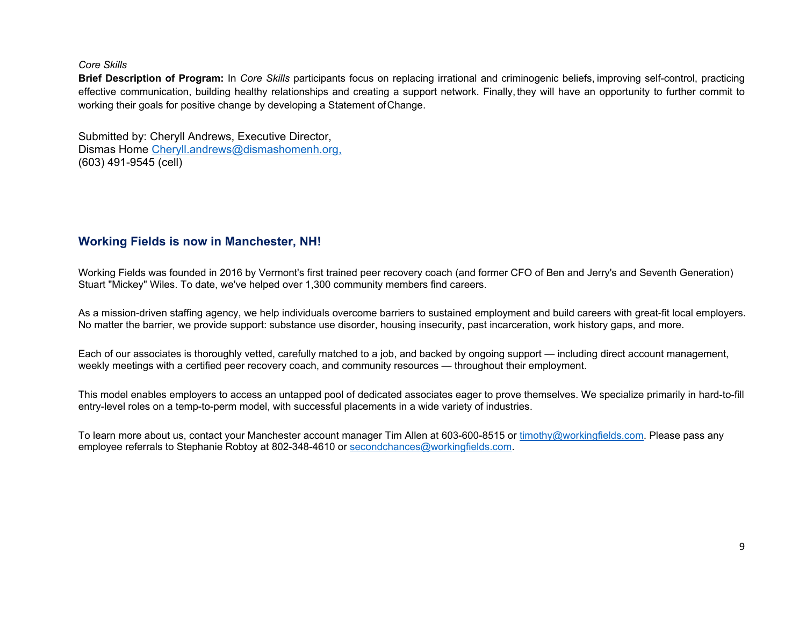*Core Skills* 

**Brief Description of Program:** In *Core Skills* participants focus on replacing irrational and criminogenic beliefs, improving self-control, practicing effective communication, building healthy relationships and creating a support network. Finally, they will have an opportunity to further commit to working their goals for positive change by developing a Statement of Change.

Submitted by: Cheryll Andrews, Executive Director, Dismas Home Cheryll.andrews@dismashomenh.org, (603) 491-9545 (cell)

# **Working Fields is now in Manchester, NH!**

Working Fields was founded in 2016 by Vermont's first trained peer recovery coach (and former CFO of Ben and Jerry's and Seventh Generation) Stuart "Mickey" Wiles. To date, we've helped over 1,300 community members find careers.

As a mission-driven staffing agency, we help individuals overcome barriers to sustained employment and build careers with great-fit local employers. No matter the barrier, we provide support: substance use disorder, housing insecurity, past incarceration, work history gaps, and more.

Each of our associates is thoroughly vetted, carefully matched to a job, and backed by ongoing support — including direct account management, weekly meetings with a certified peer recovery coach, and community resources — throughout their employment.

This model enables employers to access an untapped pool of dedicated associates eager to prove themselves. We specialize primarily in hard-to-fill entry-level roles on a temp-to-perm model, with successful placements in a wide variety of industries.

To learn more about us, contact your Manchester account manager Tim Allen at 603-600-8515 or timothy@workingfields.com. Please pass any employee referrals to Stephanie Robtoy at 802-348-4610 or secondchances@workingfields.com.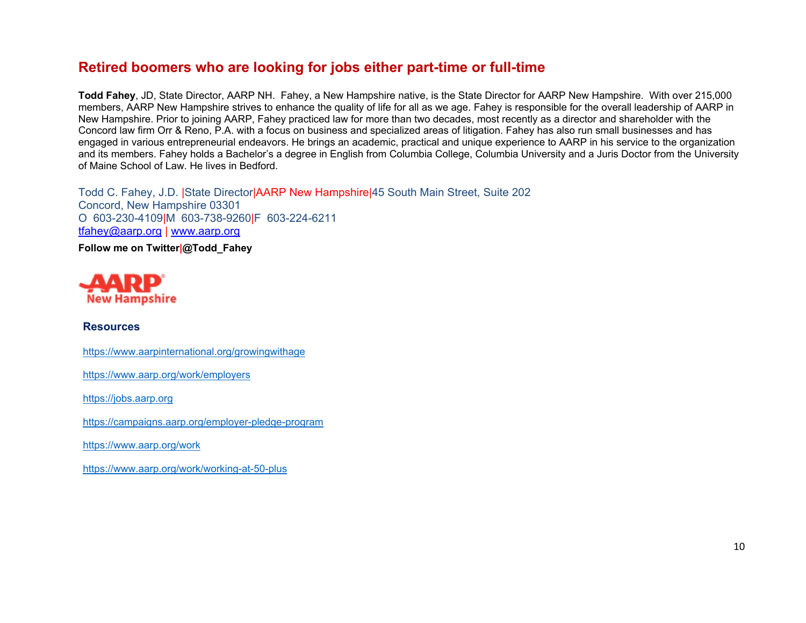# **Retired boomers who are looking for jobs either part-time or full-time**

**Todd Fahey**, JD, State Director, AARP NH. Fahey, a New Hampshire native, is the State Director for AARP New Hampshire. With over 215,000 members, AARP New Hampshire strives to enhance the quality of life for all as we age. Fahey is responsible for the overall leadership of AARP in New Hampshire. Prior to joining AARP, Fahey practiced law for more than two decades, most recently as a director and shareholder with the Concord law firm Orr & Reno, P.A. with a focus on business and specialized areas of litigation. Fahey has also run small businesses and has engaged in various entrepreneurial endeavors. He brings an academic, practical and unique experience to AARP in his service to the organization and its members. Fahey holds a Bachelor's a degree in English from Columbia College, Columbia University and a Juris Doctor from the University of Maine School of Law. He lives in Bedford.

Todd C. Fahey, J.D. |State Director|AARP New Hampshire|45 South Main Street, Suite 202 Concord, New Hampshire 03301 O 603-230-4109|M 603-738-9260|F 603-224-6211 tfahey@aarp.org | www.aarp.org

**Follow me on Twitter|@Todd\_Fahey** 



# **Resources**

https://www.aarpinternational.org/growingwithage

https://www.aarp.org/work/employers

https://jobs.aarp.org

https://campaigns.aarp.org/employer-pledge-program

https://www.aarp.org/work

https://www.aarp.org/work/working-at-50-plus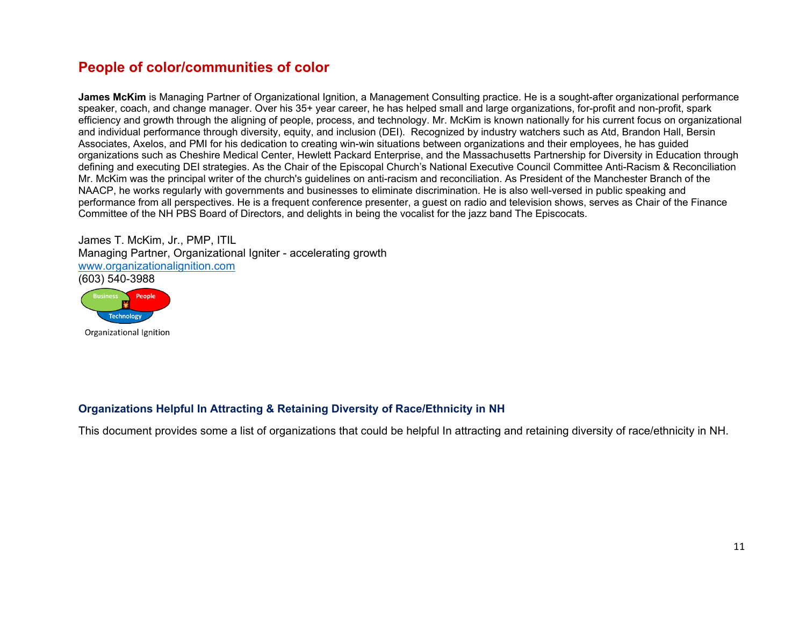# **People of color/communities of color**

**James McKim** is Managing Partner of Organizational Ignition, a Management Consulting practice. He is a sought-after organizational performance speaker, coach, and change manager. Over his 35+ year career, he has helped small and large organizations, for-profit and non-profit, spark efficiency and growth through the aligning of people, process, and technology. Mr. McKim is known nationally for his current focus on organizational and individual performance through diversity, equity, and inclusion (DEI). Recognized by industry watchers such as Atd, Brandon Hall, Bersin Associates, Axelos, and PMI for his dedication to creating win-win situations between organizations and their employees, he has guided organizations such as Cheshire Medical Center, Hewlett Packard Enterprise, and the Massachusetts Partnership for Diversity in Education through defining and executing DEI strategies. As the Chair of the Episcopal Church's National Executive Council Committee Anti-Racism & Reconciliation Mr. McKim was the principal writer of the church's guidelines on anti-racism and reconciliation. As President of the Manchester Branch of the NAACP, he works regularly with governments and businesses to eliminate discrimination. He is also well-versed in public speaking and performance from all perspectives. He is a frequent conference presenter, a guest on radio and television shows, serves as Chair of the Finance Committee of the NH PBS Board of Directors, and delights in being the vocalist for the jazz band The Episcocats.

James T. McKim, Jr., PMP, ITIL Managing Partner, Organizational Igniter - accelerating growth www.organizationalignition.com (603) 540-3988



Organizational Ignition

# **Organizations Helpful In Attracting & Retaining Diversity of Race/Ethnicity in NH**

This document provides some a list of organizations that could be helpful In attracting and retaining diversity of race/ethnicity in NH.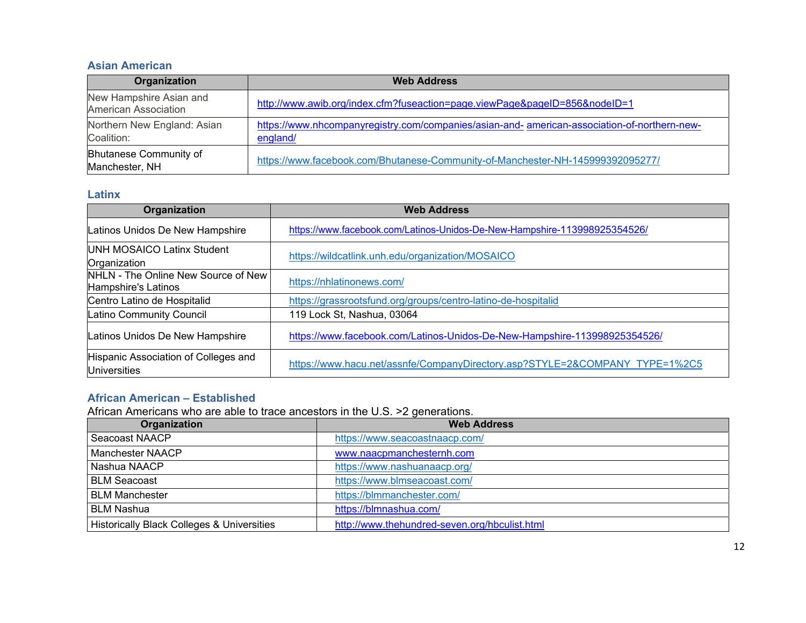## **Asian American**

| Organization                                    | <b>Web Address</b>                                                                                       |  |
|-------------------------------------------------|----------------------------------------------------------------------------------------------------------|--|
| New Hampshire Asian and<br>American Association | http://www.awib.org/index.cfm?fuseaction=page.viewPage&pageID=856&nodeID=1                               |  |
| Northern New England: Asian<br>Coalition:       | https://www.nhcompanyregistry.com/companies/asian-and- american-association-of-northern-new-<br>england/ |  |
| <b>Bhutanese Community of</b><br>Manchester, NH | https://www.facebook.com/Bhutanese-Community-of-Manchester-NH-145999392095277/                           |  |

## **Latinx**

| Organization                                                | <b>Web Address</b>                                                          |
|-------------------------------------------------------------|-----------------------------------------------------------------------------|
| Latinos Unidos De New Hampshire                             | https://www.facebook.com/Latinos-Unidos-De-New-Hampshire-113998925354526/   |
| UNH MOSAICO Latinx Student<br>Organization                  | https://wildcatlink.unh.edu/organization/MOSAICO                            |
| NHLN - The Online New Source of New<br>Hampshire's Latinos  | https://nhlatinonews.com/                                                   |
| Centro Latino de Hospitalid                                 | https://grassrootsfund.org/groups/centro-latino-de-hospitalid               |
| Latino Community Council                                    | 119 Lock St, Nashua, 03064                                                  |
| Latinos Unidos De New Hampshire                             | https://www.facebook.com/Latinos-Unidos-De-New-Hampshire-113998925354526/   |
| Hispanic Association of Colleges and<br><b>Universities</b> | https://www.hacu.net/assnfe/CompanyDirectory.asp?STYLE=2&COMPANY_TYPE=1%2C5 |

# **African American – Established**

African Americans who are able to trace ancestors in the U.S. >2 generations.

| Organization                               | <b>Web Address</b>                            |
|--------------------------------------------|-----------------------------------------------|
| Seacoast NAACP                             | https://www.seacoastnaacp.com/                |
| Manchester NAACP                           | www.naacpmanchesternh.com                     |
| Nashua NAACP                               | https://www.nashuanaacp.org/                  |
| <b>BLM Seacoast</b>                        | https://www.blmseacoast.com/                  |
| l BLM Manchester                           | https://blmmanchester.com/                    |
| <b>BLM Nashua</b>                          | https://blmnashua.com/                        |
| Historically Black Colleges & Universities | http://www.thehundred-seven.org/hbculist.html |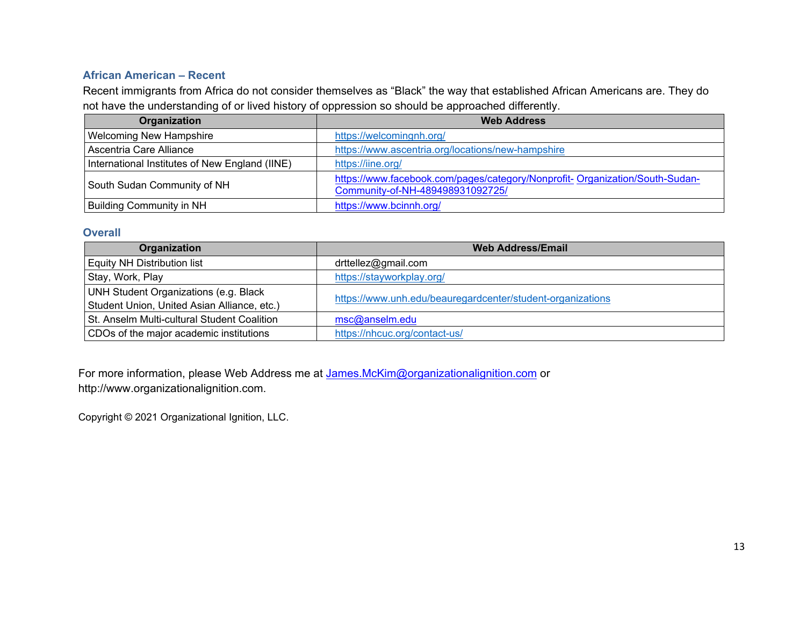# **African American – Recent**

Recent immigrants from Africa do not consider themselves as "Black" the way that established African Americans are. They do not have the understanding of or lived history of oppression so should be approached differently.

| Organization                                   | <b>Web Address</b>                                                                                              |
|------------------------------------------------|-----------------------------------------------------------------------------------------------------------------|
| <b>Welcoming New Hampshire</b>                 | https://welcomingnh.org/                                                                                        |
| Ascentria Care Alliance                        | https://www.ascentria.org/locations/new-hampshire                                                               |
| International Institutes of New England (IINE) | https://iine.org/                                                                                               |
| South Sudan Community of NH                    | https://www.facebook.com/pages/category/Nonprofit-Organization/South-Sudan-<br>Community-of-NH-489498931092725/ |
| <b>Building Community in NH</b>                | https://www.bcinnh.org/                                                                                         |

# **Overall**

| Organization                                | <b>Web Address/Email</b>                                   |
|---------------------------------------------|------------------------------------------------------------|
| <b>Equity NH Distribution list</b>          | drttellez@gmail.com                                        |
| Stay, Work, Play                            | https://stayworkplay.org/                                  |
| UNH Student Organizations (e.g. Black       | https://www.unh.edu/beauregardcenter/student-organizations |
| Student Union, United Asian Alliance, etc.) |                                                            |
| St. Anselm Multi-cultural Student Coalition | msc@anselm.edu                                             |
| CDOs of the major academic institutions     | https://nhcuc.org/contact-us/                              |

For more information, please Web Address me at James.McKim@organizationalignition.com or http://www.organizationalignition.com.

Copyright © 2021 Organizational Ignition, LLC.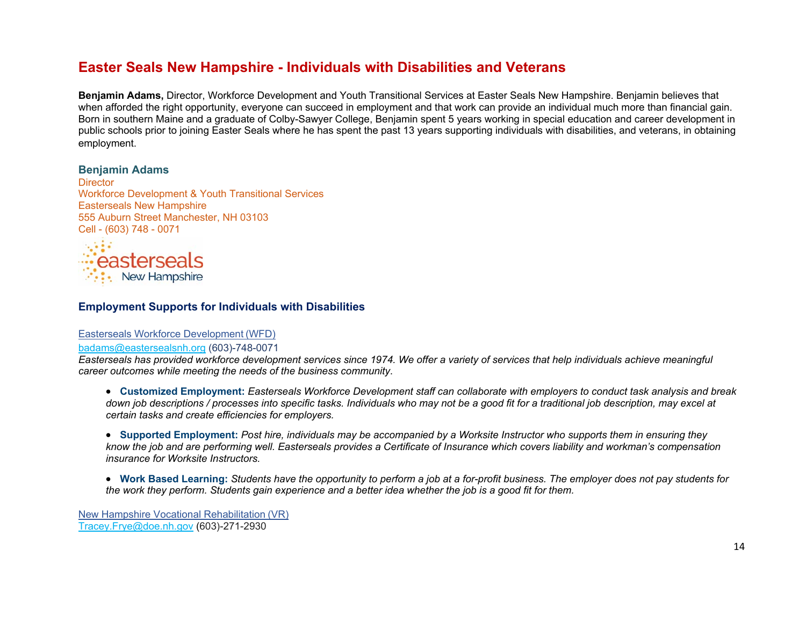# **Easter Seals New Hampshire - Individuals with Disabilities and Veterans**

**Benjamin Adams,** Director, Workforce Development and Youth Transitional Services at Easter Seals New Hampshire. Benjamin believes that when afforded the right opportunity, everyone can succeed in employment and that work can provide an individual much more than financial gain. Born in southern Maine and a graduate of Colby-Sawyer College, Benjamin spent 5 years working in special education and career development in public schools prior to joining Easter Seals where he has spent the past 13 years supporting individuals with disabilities, and veterans, in obtaining employment.

## **Benjamin Adams**

**Director** Workforce Development & Youth Transitional Services Easterseals New Hampshire 555 Auburn Street Manchester, NH 03103 Cell - (603) 748 - 0071



## **Employment Supports for Individuals with Disabilities**

### Easterseals Workforce Development (WFD)

#### badams@eastersealsnh.org (603)-748-0071

*Easterseals has provided workforce development services since 1974. We offer a variety of services that help individuals achieve meaningful career outcomes while meeting the needs of the business community*.

 **Customized Employment:** *Easterseals Workforce Development staff can collaborate with employers to conduct task analysis and break down job descriptions / processes into specific tasks. Individuals who may not be a good fit for a traditional job description, may excel at certain tasks and create efficiencies for employers.* 

 **Supported Employment:** *Post hire, individuals may be accompanied by a Worksite Instructor who supports them in ensuring they know the job and are performing well. Easterseals provides a Certificate of Insurance which covers liability and workman's compensation insurance for Worksite Instructors.* 

 **Work Based Learning:** *Students have the opportunity to perform a job at a for-profit business. The employer does not pay students for the work they perform. Students gain experience and a better idea whether the job is a good fit for them.* 

New Hampshire Vocational Rehabilitation (VR) Tracey.Frye@doe.nh.gov (603)-271-2930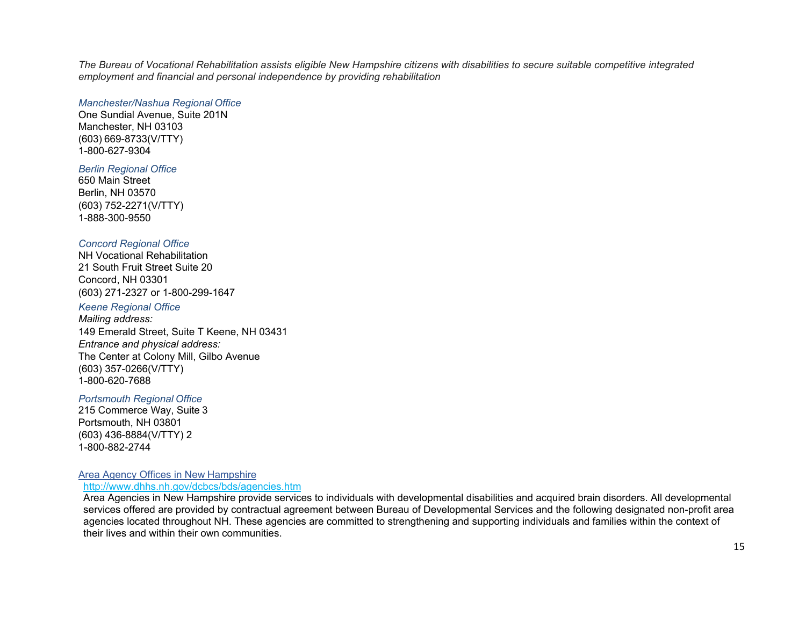*The Bureau of Vocational Rehabilitation assists eligible New Hampshire citizens with disabilities to secure suitable competitive integrated employment and financial and personal independence by providing rehabilitation* 

#### *Manchester/Nashua Regional Office*

One Sundial Avenue, Suite 201N Manchester, NH 03103 (603) 669-8733(V/TTY) 1-800-627-9304

### *Berlin Regional Office*

650 Main Street Berlin, NH 03570 (603) 752-2271(V/TTY) 1-888-300-9550

### *Concord Regional Office*

NH Vocational Rehabilitation 21 South Fruit Street Suite 20 Concord, NH 03301 (603) 271-2327 or 1-800-299-1647

## *Keene Regional Office*

*Mailing address:*  149 Emerald Street, Suite T Keene, NH 03431 *Entrance and physical address:*  The Center at Colony Mill, Gilbo Avenue (603) 357-0266(V/TTY) 1-800-620-7688

#### *Portsmouth Regional Office*

215 Commerce Way, Suite 3 Portsmouth, NH 03801 (603) 436-8884(V/TTY) 2 1-800-882-2744

#### Area Agency Offices in New Hampshire http://www.dhhs.nh.gov/dcbcs/bds/agencies.htm

Area Agencies in New Hampshire provide services to individuals with developmental disabilities and acquired brain disorders. All developmental services offered are provided by contractual agreement between Bureau of Developmental Services and the following designated non-profit area agencies located throughout NH. These agencies are committed to strengthening and supporting individuals and families within the context of their lives and within their own communities.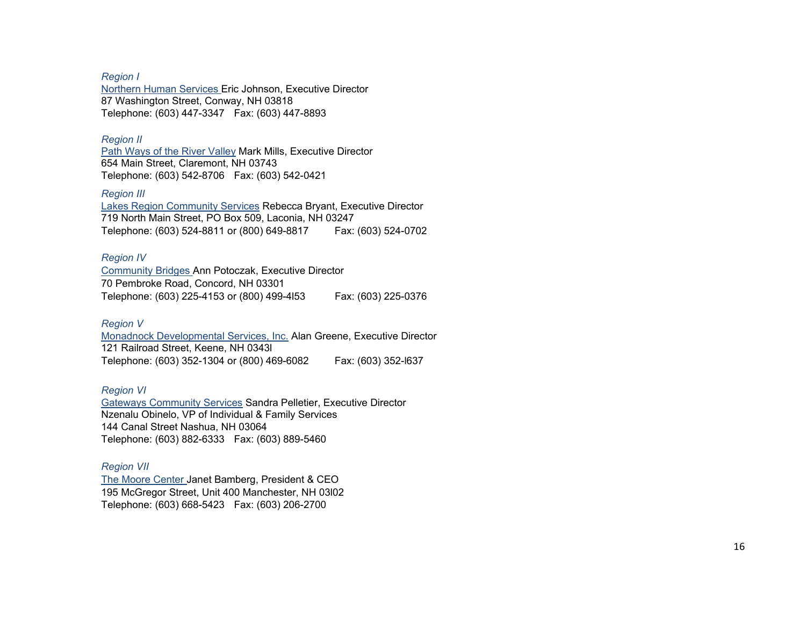*Region I*

Northern Human Services Eric Johnson, Executive Director 87 Washington Street, Conway, NH 03818 Telephone: (603) 447-3347 Fax: (603) 447-8893

#### *Region II*

Path Ways of the River Valley Mark Mills, Executive Director 654 Main Street, Claremont, NH 03743 Telephone: (603) 542-8706 Fax: (603) 542-0421

#### *Region III*

Lakes Region Community Services Rebecca Bryant, Executive Director 719 North Main Street, PO Box 509, Laconia, NH 03247 Telephone: (603) 524-8811 or (800) 649-8817 Fax: (603) 524-0702

#### *Region IV*

Community Bridges Ann Potoczak, Executive Director 70 Pembroke Road, Concord, NH 03301 Telephone: (603) 225-4153 or (800) 499-4l53 Fax: (603) 225-0376

### *Region V*

Monadnock Developmental Services, Inc. Alan Greene, Executive Director 121 Railroad Street, Keene, NH 0343l Telephone: (603) 352-1304 or (800) 469-6082 Fax: (603) 352-l637

### *Region VI*

Gateways Community Services Sandra Pelletier, Executive Director Nzenalu Obinelo, VP of Individual & Family Services 144 Canal Street Nashua, NH 03064 Telephone: (603) 882-6333 Fax: (603) 889-5460

### *Region VII*

The Moore Center Janet Bamberg, President & CEO 195 McGregor Street, Unit 400 Manchester, NH 03l02 Telephone: (603) 668-5423 Fax: (603) 206-2700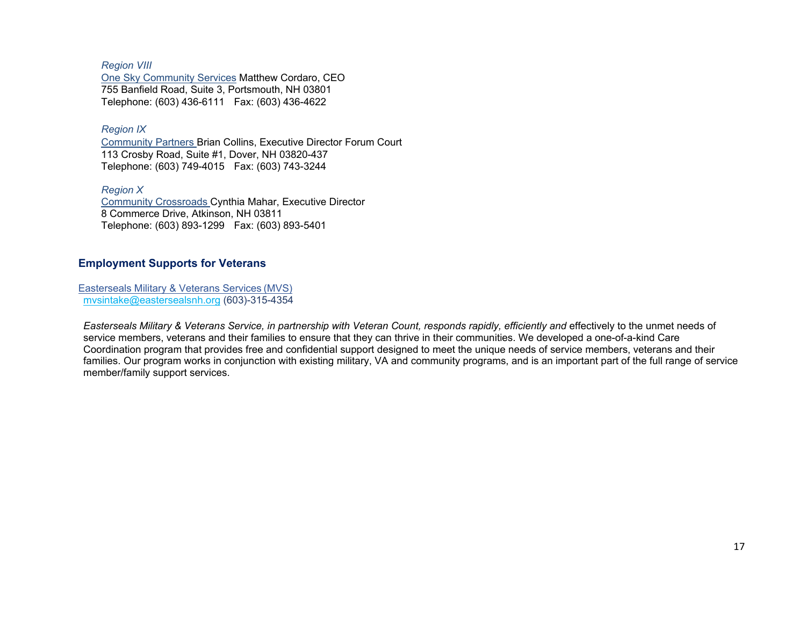*Region VIII* One Sky Community Services Matthew Cordaro, CEO 755 Banfield Road, Suite 3, Portsmouth, NH 03801 Telephone: (603) 436-6111 Fax: (603) 436-4622

*Region IX*

Community Partners Brian Collins, Executive Director Forum Court 113 Crosby Road, Suite #1, Dover, NH 03820-437 Telephone: (603) 749-4015 Fax: (603) 743-3244

*Region X* Community Crossroads Cynthia Mahar, Executive Director 8 Commerce Drive, Atkinson, NH 03811 Telephone: (603) 893-1299 Fax: (603) 893-5401

# **Employment Supports for Veterans**

Easterseals Military & Veterans Services (MVS) mvsintake@eastersealsnh.org (603)-315-4354

*Easterseals Military & Veterans Service, in partnership with Veteran Count, responds rapidly, efficiently and* effectively to the unmet needs of service members, veterans and their families to ensure that they can thrive in their communities. We developed a one-of-a-kind Care Coordination program that provides free and confidential support designed to meet the unique needs of service members, veterans and their families. Our program works in conjunction with existing military, VA and community programs, and is an important part of the full range of service member/family support services.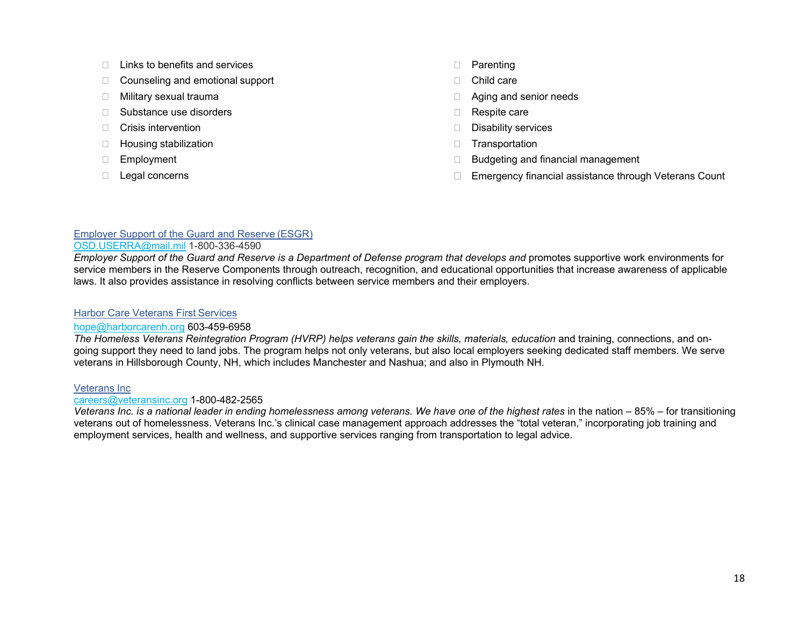- $\Box$  Links to benefits and services
- □ Counseling and emotional support
- □ Military sexual trauma
- □ Substance use disorders
- $\Box$  Crisis intervention
- $\Box$  Housing stabilization
- Employment
- D Legal concerns
- D Parenting
- □ Child care
- □ Aging and senior needs
- Respite care
- Disability services
- **Transportation**
- $\Box$  Budgeting and financial management
- □ Emergency financial assistance through Veterans Count

# Employer Support of the Guard and Reserve (ESGR)

## OSD.USERRA@mail.mil 1-800-336-4590

*Employer Support of the Guard and Reserve is a Department of Defense program that develops and promotes supportive work environments for* service members in the Reserve Components through outreach, recognition, and educational opportunities that increase awareness of applicable laws. It also provides assistance in resolving conflicts between service members and their employers.

## Harbor Care Veterans First Services

# hope@harborcarenh.org 603-459-6958

*The Homeless Veterans Reintegration Program (HVRP) helps veterans gain the skills, materials, education* and training, connections, and ongoing support they need to land jobs. The program helps not only veterans, but also local employers seeking dedicated staff members. We serve veterans in Hillsborough County, NH, which includes Manchester and Nashua; and also in Plymouth NH.

# Veterans Inc

## careers@veteransinc.org 1-800-482-2565

*Veterans Inc. is a national leader in ending homelessness among veterans. We have one of the highest rates in the nation – 85% – for transitioning* veterans out of homelessness. Veterans Inc.'s clinical case management approach addresses the "total veteran," incorporating job training and employment services, health and wellness, and supportive services ranging from transportation to legal advice.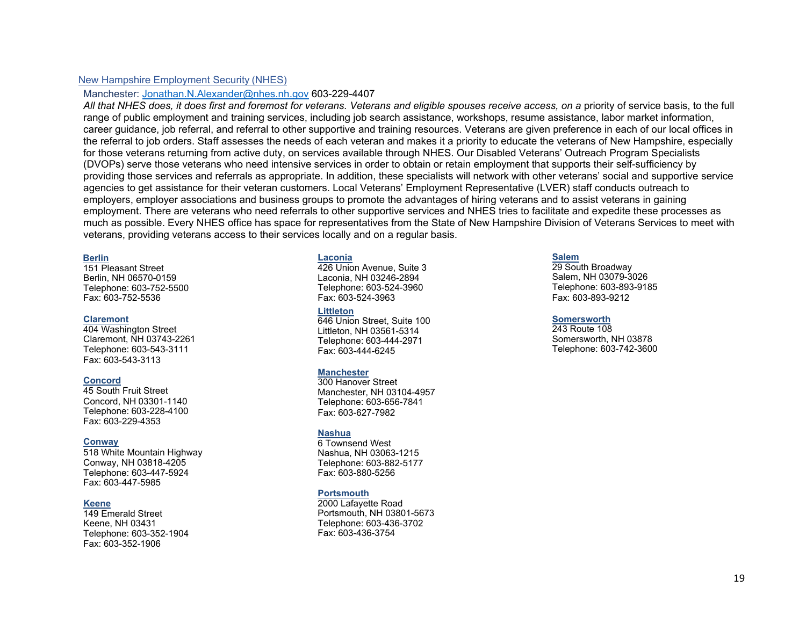### New Hampshire Employment Security (NHES)

#### Manchester: Jonathan.N.Alexander@nhes.nh.gov 603-229-4407

All that NHES does, it does first and foremost for veterans. Veterans and eligible spouses receive access, on a priority of service basis, to the full range of public employment and training services, including job search assistance, workshops, resume assistance, labor market information, career guidance, job referral, and referral to other supportive and training resources. Veterans are given preference in each of our local offices in the referral to job orders. Staff assesses the needs of each veteran and makes it a priority to educate the veterans of New Hampshire, especially for those veterans returning from active duty, on services available through NHES. Our Disabled Veterans' Outreach Program Specialists (DVOPs) serve those veterans who need intensive services in order to obtain or retain employment that supports their self-sufficiency by providing those services and referrals as appropriate. In addition, these specialists will network with other veterans' social and supportive service agencies to get assistance for their veteran customers. Local Veterans' Employment Representative (LVER) staff conducts outreach to employers, employer associations and business groups to promote the advantages of hiring veterans and to assist veterans in gaining employment. There are veterans who need referrals to other supportive services and NHES tries to facilitate and expedite these processes as much as possible. Every NHES office has space for representatives from the State of New Hampshire Division of Veterans Services to meet with veterans, providing veterans access to their services locally and on a regular basis.

#### **Berlin**

151 Pleasant Street Berlin, NH 06570-0159 Telephone: 603-752-5500 Fax: 603-752-5536

#### **Claremont**

404 Washington Street Claremont, NH 03743-2261 Telephone: 603-543-3111 Fax: 603-543-3113

#### **Concord**

45 South Fruit Street Concord, NH 03301-1140 Telephone: 603-228-4100 Fax: 603-229-4353

#### **Conway**

518 White Mountain Highway Conway, NH 03818-4205 Telephone: 603-447-5924 Fax: 603-447-5985

#### **Keene**

 149 Emerald Street Keene, NH 03431 Telephone: 603-352-1904 Fax: 603-352-1906

#### **Laconia**

 426 Union Avenue, Suite 3 Laconia, NH 03246-2894 Telephone: 603-524-3960 Fax: 603-524-3963

#### **Littleton**

 646 Union Street, Suite 100 Littleton, NH 03561-5314 Telephone: 603-444-2971 Fax: 603-444-6245

#### **Manchester**

300 Hanover Street Manchester, NH 03104-4957 Telephone: 603-656-7841 Fax: 603-627-7982

#### **Nashua**

 6 Townsend West Nashua, NH 03063-1215 Telephone: 603-882-5177 Fax: 603-880-5256

#### **Portsmouth**

 2000 Lafayette Road Portsmouth, NH 03801-5673 Telephone: 603-436-3702 Fax: 603-436-3754

#### **Salem**

29 South Broadway Salem, NH 03079-3026 Telephone: 603-893-9185 Fax: 603-893-9212

#### **Somersworth**

243 Route 108 Somersworth, NH 03878 Telephone: 603-742-3600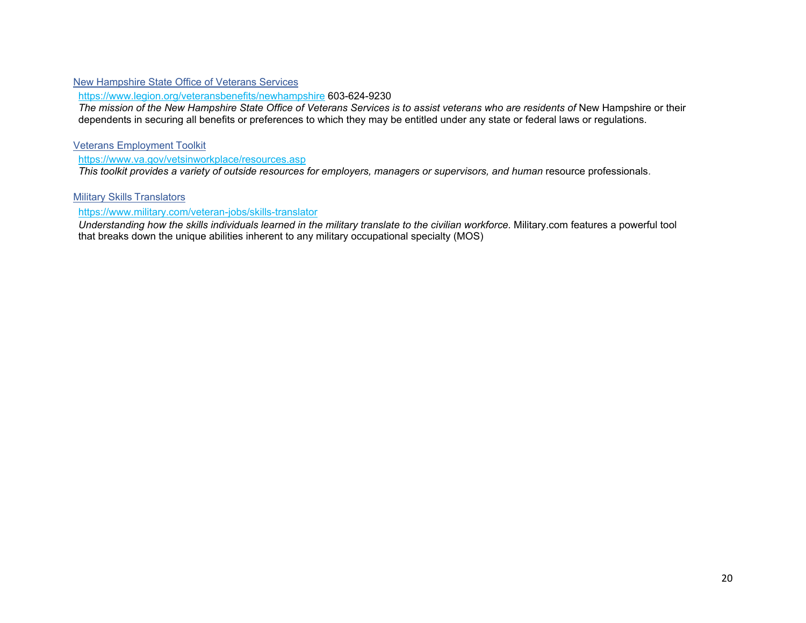# New Hampshire State Office of Veterans Services

https://www.legion.org/veteransbenefits/newhampshire 603-624-9230

*The mission of the New Hampshire State Office of Veterans Services is to assist veterans who are residents of* New Hampshire or their dependents in securing all benefits or preferences to which they may be entitled under any state or federal laws or regulations.

## Veterans Employment Toolkit

https://www.va.gov/vetsinworkplace/resources.asp

*This toolkit provides a variety of outside resources for employers, managers or supervisors, and human resource professionals.* 

Military Skills Translators

## https://www.military.com/veteran-jobs/skills-translator

*Understanding how the skills individuals learned in the military translate to the civilian workforce.* Military.com features a powerful tool that breaks down the unique abilities inherent to any military occupational specialty (MOS)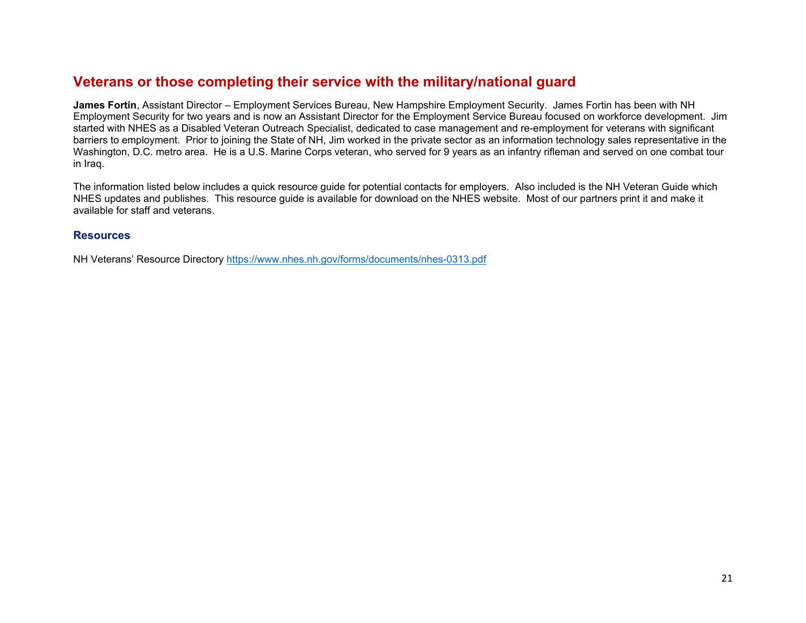# **Veterans or those completing their service with the military/national guard**

**James Fortin**, Assistant Director – Employment Services Bureau, New Hampshire Employment Security. James Fortin has been with NH Employment Security for two years and is now an Assistant Director for the Employment Service Bureau focused on workforce development. Jim started with NHES as a Disabled Veteran Outreach Specialist, dedicated to case management and re-employment for veterans with significant barriers to employment. Prior to joining the State of NH, Jim worked in the private sector as an information technology sales representative in the Washington, D.C. metro area. He is a U.S. Marine Corps veteran, who served for 9 years as an infantry rifleman and served on one combat tour in Iraq.

The information listed below includes a quick resource guide for potential contacts for employers. Also included is the NH Veteran Guide which NHES updates and publishes. This resource guide is available for download on the NHES website. Most of our partners print it and make it available for staff and veterans.

## **Resources**

NH Veterans' Resource Directory https://www.nhes.nh.gov/forms/documents/nhes-0313.pdf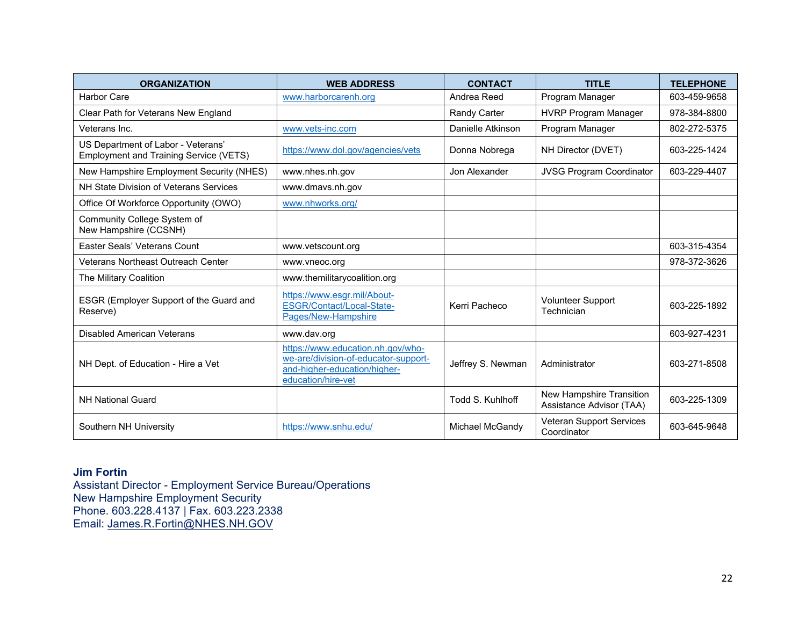| <b>ORGANIZATION</b>                                                                 | <b>WEB ADDRESS</b>                                                                                                              | <b>CONTACT</b>    | <b>TITLE</b>                                         | <b>TELEPHONE</b> |
|-------------------------------------------------------------------------------------|---------------------------------------------------------------------------------------------------------------------------------|-------------------|------------------------------------------------------|------------------|
| <b>Harbor Care</b>                                                                  | www.harborcarenh.org                                                                                                            | Andrea Reed       | Program Manager                                      | 603-459-9658     |
| Clear Path for Veterans New England                                                 |                                                                                                                                 | Randy Carter      | <b>HVRP Program Manager</b>                          | 978-384-8800     |
| Veterans Inc.                                                                       | www.vets-inc.com                                                                                                                | Danielle Atkinson | Program Manager                                      | 802-272-5375     |
| US Department of Labor - Veterans'<br><b>Employment and Training Service (VETS)</b> | https://www.dol.gov/agencies/vets                                                                                               | Donna Nobrega     | NH Director (DVET)                                   | 603-225-1424     |
| New Hampshire Employment Security (NHES)                                            | www.nhes.nh.gov                                                                                                                 | Jon Alexander     | <b>JVSG Program Coordinator</b>                      | 603-229-4407     |
| NH State Division of Veterans Services                                              | www.dmavs.nh.gov                                                                                                                |                   |                                                      |                  |
| Office Of Workforce Opportunity (OWO)                                               | www.nhworks.org/                                                                                                                |                   |                                                      |                  |
| Community College System of<br>New Hampshire (CCSNH)                                |                                                                                                                                 |                   |                                                      |                  |
| Easter Seals' Veterans Count                                                        | www.vetscount.org                                                                                                               |                   |                                                      | 603-315-4354     |
| <b>Veterans Northeast Outreach Center</b>                                           | www.vneoc.org                                                                                                                   |                   |                                                      | 978-372-3626     |
| The Military Coalition                                                              | www.themilitarycoalition.org                                                                                                    |                   |                                                      |                  |
| ESGR (Employer Support of the Guard and<br>Reserve)                                 | https://www.esgr.mil/About-<br>ESGR/Contact/Local-State-<br>Pages/New-Hampshire                                                 | Kerri Pacheco     | <b>Volunteer Support</b><br>Technician               | 603-225-1892     |
| <b>Disabled American Veterans</b>                                                   | www.dav.org                                                                                                                     |                   |                                                      | 603-927-4231     |
| NH Dept. of Education - Hire a Vet                                                  | https://www.education.nh.gov/who-<br>we-are/division-of-educator-support-<br>and-higher-education/higher-<br>education/hire-vet | Jeffrey S. Newman | Administrator                                        | 603-271-8508     |
| <b>NH National Guard</b>                                                            |                                                                                                                                 | Todd S. Kuhlhoff  | New Hampshire Transition<br>Assistance Advisor (TAA) | 603-225-1309     |
| Southern NH University                                                              | https://www.snhu.edu/                                                                                                           | Michael McGandy   | <b>Veteran Support Services</b><br>Coordinator       | 603-645-9648     |

# **Jim Fortin**

Assistant Director - Employment Service Bureau/Operations New Hampshire Employment Security Phone. 603.228.4137 | Fax. 603.223.2338 Email: James.R.Fortin@NHES.NH.GOV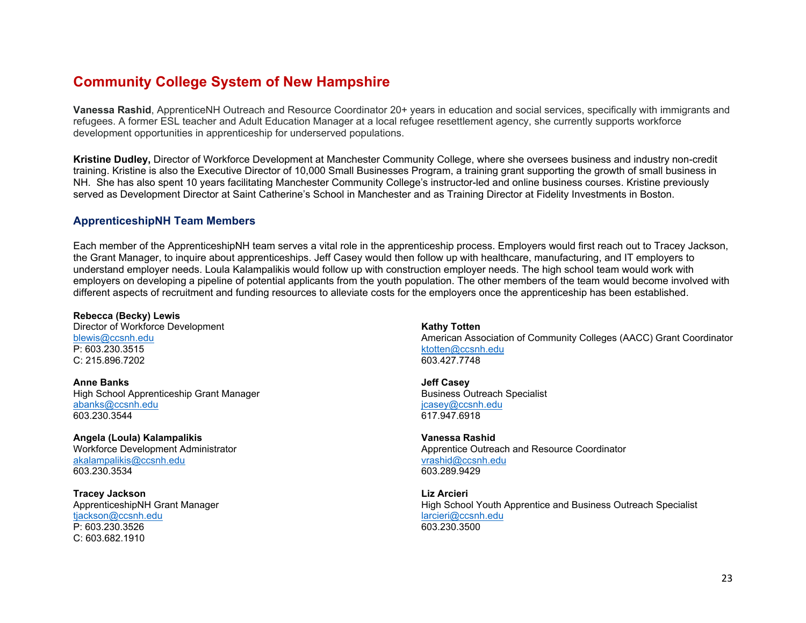# **Community College System of New Hampshire**

**Vanessa Rashid**, ApprenticeNH Outreach and Resource Coordinator 20+ years in education and social services, specifically with immigrants and refugees. A former ESL teacher and Adult Education Manager at a local refugee resettlement agency, she currently supports workforce development opportunities in apprenticeship for underserved populations.

**Kristine Dudley,** Director of Workforce Development at Manchester Community College, where she oversees business and industry non-credit training. Kristine is also the Executive Director of 10,000 Small Businesses Program, a training grant supporting the growth of small business in NH. She has also spent 10 years facilitating Manchester Community College's instructor-led and online business courses. Kristine previously served as Development Director at Saint Catherine's School in Manchester and as Training Director at Fidelity Investments in Boston.

## **ApprenticeshipNH Team Members**

Each member of the ApprenticeshipNH team serves a vital role in the apprenticeship process. Employers would first reach out to Tracey Jackson, the Grant Manager, to inquire about apprenticeships. Jeff Casey would then follow up with healthcare, manufacturing, and IT employers to understand employer needs. Loula Kalampalikis would follow up with construction employer needs. The high school team would work with employers on developing a pipeline of potential applicants from the youth population. The other members of the team would become involved with different aspects of recruitment and funding resources to alleviate costs for the employers once the apprenticeship has been established.

**Rebecca (Becky) Lewis**  Director of Workforce Development blewis@ccsnh.edu P: 603.230.3515 C: 215.896.7202

**Anne Banks** High School Apprenticeship Grant Manager abanks@ccsnh.edu 603.230.3544

**Angela (Loula) Kalampalikis**  Workforce Development Administrator akalampalikis@ccsnh.edu 603.230.3534

**Tracey Jackson**  ApprenticeshipNH Grant Manager tjackson@ccsnh.edu P: 603.230.3526 C: 603.682.1910

**Kathy Totten** American Association of Community Colleges (AACC) Grant Coordinator ktotten@ccsnh.edu 603.427.7748

**Jeff Casey** Business Outreach Specialist jcasey@ccsnh.edu 617.947.6918

**Vanessa Rashid** Apprentice Outreach and Resource Coordinator vrashid@ccsnh.edu 603.289.9429

**Liz Arcieri**High School Youth Apprentice and Business Outreach Specialist larcieri@ccsnh.edu 603.230.3500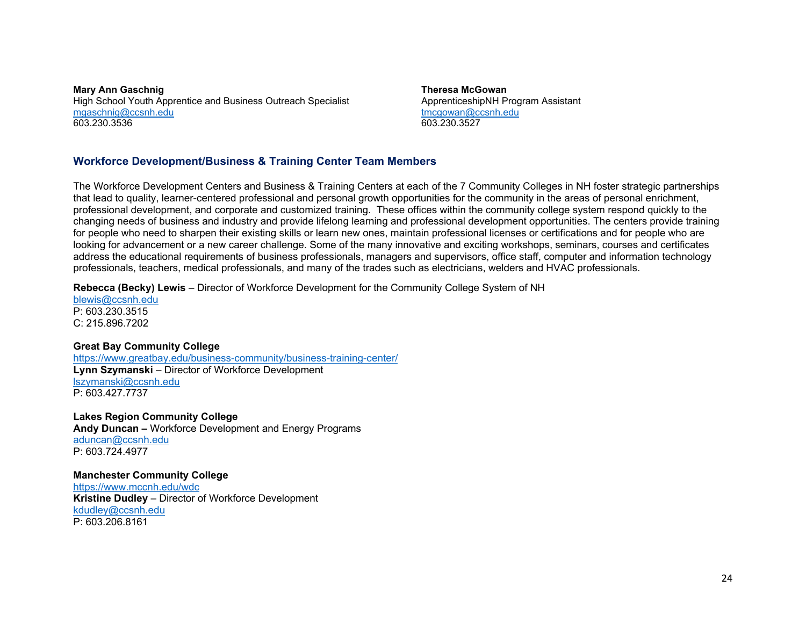**Mary Ann Gaschnig** High School Youth Apprentice and Business Outreach Specialist mgaschnig@ccsnh.edu 603.230.3536

**Theresa McGowan** ApprenticeshipNH Program Assistant tmcgowan@ccsnh.edu 603.230.3527

# **Workforce Development/Business & Training Center Team Members**

The Workforce Development Centers and Business & Training Centers at each of the 7 Community Colleges in NH foster strategic partnerships that lead to quality, learner-centered professional and personal growth opportunities for the community in the areas of personal enrichment, professional development, and corporate and customized training. These offices within the community college system respond quickly to the changing needs of business and industry and provide lifelong learning and professional development opportunities. The centers provide training for people who need to sharpen their existing skills or learn new ones, maintain professional licenses or certifications and for people who are looking for advancement or a new career challenge. Some of the many innovative and exciting workshops, seminars, courses and certificates address the educational requirements of business professionals, managers and supervisors, office staff, computer and information technology professionals, teachers, medical professionals, and many of the trades such as electricians, welders and HVAC professionals.

**Rebecca (Becky) Lewis** – Director of Workforce Development for the Community College System of NH

blewis@ccsnh.edu P: 603.230.3515 C: 215.896.7202

### **Great Bay Community College**

https://www.greatbay.edu/business-community/business-training-center/ **Lynn Szymanski** – Director of Workforce Development lszymanski@ccsnh.edu P: 603.427.7737

**Lakes Region Community College Andy Duncan –** Workforce Development and Energy Programs aduncan@ccsnh.edu P: 603.724.4977

**Manchester Community College**  https://www.mccnh.edu/wdc **Kristine Dudley** – Director of Workforce Development kdudley@ccsnh.edu P: 603.206.8161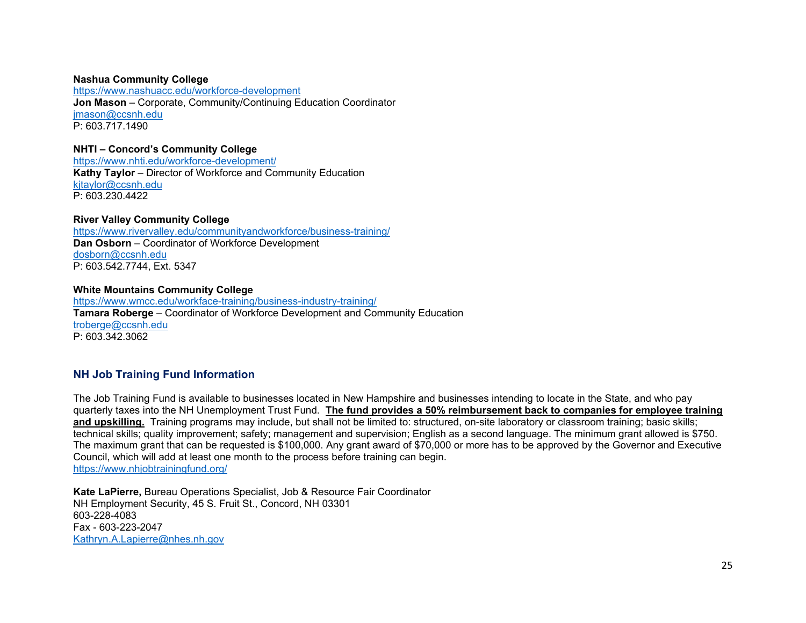### **Nashua Community College**

https://www.nashuacc.edu/workforce-development **Jon Mason** – Corporate, Community/Continuing Education Coordinator jmason@ccsnh.edu P: 603.717.1490

### **NHTI – Concord's Community College**

https://www.nhti.edu/workforce-development/ **Kathy Taylor** – Director of Workforce and Community Education kjtaylor@ccsnh.edu P: 603.230.4422

### **River Valley Community College**

https://www.rivervalley.edu/communityandworkforce/business-training/ **Dan Osborn** – Coordinator of Workforce Development dosborn@ccsnh.edu P: 603.542.7744, Ext. 5347

### **White Mountains Community College**

https://www.wmcc.edu/workface-training/business-industry-training/ **Tamara Roberge** – Coordinator of Workforce Development and Community Education troberge@ccsnh.edu P: 603.342.3062

# **NH Job Training Fund Information**

The Job Training Fund is available to businesses located in New Hampshire and businesses intending to locate in the State, and who pay quarterly taxes into the NH Unemployment Trust Fund. **The fund provides a 50% reimbursement back to companies for employee training and upskilling.** Training programs may include, but shall not be limited to: structured, on-site laboratory or classroom training; basic skills; technical skills; quality improvement; safety; management and supervision; English as a second language. The minimum grant allowed is \$750. The maximum grant that can be requested is \$100,000. Any grant award of \$70,000 or more has to be approved by the Governor and Executive Council, which will add at least one month to the process before training can begin. https://www.nhjobtrainingfund.org/

**Kate LaPierre,** Bureau Operations Specialist, Job & Resource Fair Coordinator NH Employment Security, 45 S. Fruit St., Concord, NH 03301 603-228-4083 Fax - 603-223-2047 Kathryn.A.Lapierre@nhes.nh.gov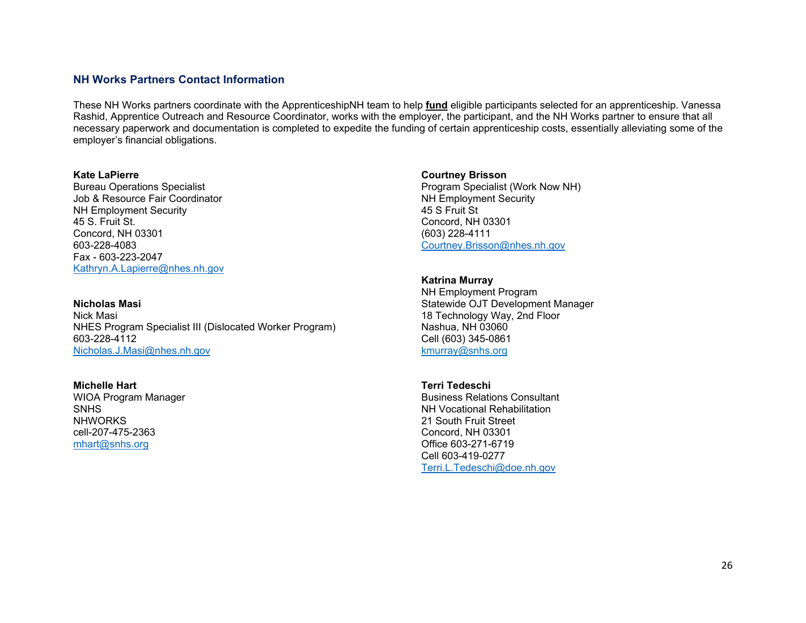# **NH Works Partners Contact Information**

These NH Works partners coordinate with the ApprenticeshipNH team to help **fund** eligible participants selected for an apprenticeship. Vanessa Rashid, Apprentice Outreach and Resource Coordinator, works with the employer, the participant, and the NH Works partner to ensure that all necessary paperwork and documentation is completed to expedite the funding of certain apprenticeship costs, essentially alleviating some of the employer's financial obligations.

#### **Kate LaPierre**

Bureau Operations Specialist Job & Resource Fair Coordinator NH Employment Security 45 S. Fruit St. Concord, NH 03301 603-228-4083 Fax - 603-223-2047 Kathryn.A.Lapierre@nhes.nh.gov

#### **Nicholas Masi**

Nick Masi NHES Program Specialist III (Dislocated Worker Program) 603-228-4112 Nicholas.J.Masi@nhes.nh.gov

### **Michelle Hart**

WIOA Program Manager SNHS **NHWORKS** cell-207-475-2363 mhart@snhs.org

### **Courtney Brisson**

Program Specialist (Work Now NH) NH Employment Security 45 S Fruit St Concord, NH 03301 (603) 228-4111 Courtney.Brisson@nhes.nh.gov

## **Katrina Murray**

NH Employment Program Statewide OJT Development Manager 18 Technology Way, 2nd Floor Nashua, NH 03060 Cell (603) 345-0861 kmurray@snhs.org

### **Terri Tedeschi**

Business Relations Consultant NH Vocational Rehabilitation 21 South Fruit Street Concord, NH 03301 Office 603-271-6719 Cell 603-419-0277 Terri.L.Tedeschi@doe.nh.gov